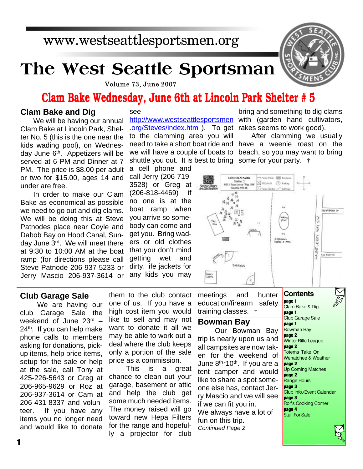# www.westseattlesportsmen.org

# **The West Seattle Sportsman**



Volume 73, June 2007

# **Clam Bake Wednesday, June 6th at Lincoln Park Shelter # 5**

## **Clam Bake and Dig**

We will be having our annual Clam Bake at Lincoln Park, Shelter No. 5 (this is the one near the kids wading pool), on Wednesday June 6th. Appetizers will be served at 6 PM and Dinner at 7 PM. The price is \$8.00 per adult or two for \$15.00, ages 14 and under are free.

In order to make our Clam Bake as economical as possible we need to go out and dig clams. We will be doing this at Steve Patnodes place near Coyle and Dabob Bay on Hood Canal, Sunday June 3rd. We will meet there at 9:30 to 10:00 AM at the boat ramp (for directions please call Steve Patnode 206-937-5233 or Jerry Mascio 206-937-3614 or

#### see

http://www.westseattlesportsmen with (garden hand cultivators, .org/Steves/index.htm ). To get rakes seems to work good). to the clamming area you will

a cell phone and call Jerry (206-719- 3528) or Greg at (206-818-4469) if no one is at the boat ramp when you arrive so somebody can come and get you. Bring waders or old clothes that you don't mind getting wet and dirty, life jackets for any kids you may bring and something to dig clams

need to take a short boat ride and have a weenie roast on the we will have a couple of boats to beach, so you may want to bring shuttle you out. It is best to bring some for your party. † After clamming we usually



## **Club Garage Sale**

We are having our club Garage Sale the weekend of June 23rd –  $24<sup>th</sup>$ . If you can help make phone calls to members asking for donations, pickup items, help price items, setup for the sale or help at the sale, call Tony at 425-226-5643 or Greg at 206-965-9629 or Roz at 206-937-3614 or Cam at 206-431-8337 and volunteer. If you have any items you no longer need and would like to donate

them to the club contact one of us. If you have a high cost item you would like to sell and may not want to donate it all we may be able to work out a deal where the club keeps only a portion of the sale price as a commission.

This is a great chance to clean out your garage, basement or attic and help the club get some much needed items. The money raised will go toward new Hepa Filters for the range and hopefully a projector for club

meetings and hunter education/firearm safety training classes. †

#### **Bowman Bay**

Our Bowman Bay trip is nearly upon us and all campsites are now taken for the weekend of June  $8<sup>th-10<sup>th</sup></sup>$ . If you are a tent camper and would like to share a spot someone else has, contact Jerry Mascio and we will see if we can fit you in. We always have a lot of fun on this trip. *Continued Page 2*

**page 1** Clam Bake & Dig **page 1** Club Garage Sale **page 1** Bowman Bay **page 2** Winter Rifle League **page 2** Totems Take On Wenatchee & Weather **page 2** Up Coming Matches **page 2** Range Hours **page 3** Club Info./Event Calendar **page 3** Rolf's Cooking Corner **page 4** Stuff For Sale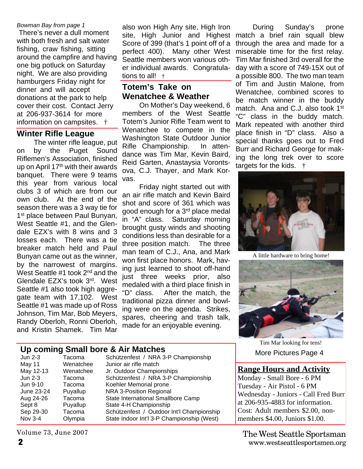#### *Bowman Bay from page 1*

 There's never a dull moment with both fresh and salt water fishing, craw fishing, sitting around the campfire and having one big potluck on Saturday night. We are also providing hamburgers Friday night for dinner and will accept donations at the park to help cover their cost. Contact Jerry at 206-937-3614 for more information on campsites. †

#### **Winter Rifle League**

The winter rifle league, put on by the Puget Sound Riflemen's Association, finished up on April 17<sup>th</sup> with their awards banquet. There were 9 teams this year from various local clubs 3 of which are from our own club. At the end of the season there was a 3 way tie for 1<sup>st</sup> place between Paul Bunyan, West Seattle #1, and the Glendale EZX's with 8 wins and 3 losses each. There was a tie breaker match held and Paul Bunyan came out as the winner, by the narrowest of margins. West Seattle #1 took 2<sup>nd</sup> and the Glendale EZX's took 3rd. West Seattle #1 also took high aggregate team with 17,102. West Seattle #1 was made up of Ross Johnson, Tim Mar, Bob Meyers, Randy Oberloh, Ronni Oberloh, and Kristin Shamek. Tim Mar

also won High Any site, High Iron site, High Junior and Highest match a brief rain squall blew Score of 399 (that's 1 point off of a perfect 400). Many other West Seattle members won various other individual awards. Congratulations to all! †

# **Totem's Take on Wenatchee & Weather**

On Mother's Day weekend, 6 members of the West Seattle Totem's Junior Rifle Team went to Wenatchee to compete in the Washington State Outdoor Junior Rifle Championship. In attendance was Tim Mar, Kevin Baird, Reid Garten, Anastaysia Vorontsova, C.J. Thayer, and Mark Korvas.

Friday night started out with an air rifle match and Kevin Baird shot and score of 361 which was good enough for a 3rd place medal in "A" class. Saturday morning brought gusty winds and shooting conditions less than desirable for a three position match. The three man team of C.J., Ana, and Mark won first place honors. Mark, having just learned to shoot off-hand just three weeks prior, also medaled with a third place finish in "D" class. After the match, the traditional pizza dinner and bowling were on the agenda. Strikes, spares, cheering and trash talk, made for an enjoyable evening.

During Sunday's prone through the area and made for a miserable time for the first relay. Tim Mar finished 3rd overall for the day with a score of 749-15X out of a possible 800. The two man team of Tim and Justin Malone, from Wenatchee, combined scores to be match winner in the buddy match. Ana and C.J. also took 1<sup>st</sup> "C" class in the buddy match. Mark repeated with another third place finish in "D" class. Also a special thanks goes out to Fred Burr and Richard George for making the long trek over to score targets for the kids. †



A little hardware to bring home!



More Pictures Page 4 Tim Mar looking for tens!

#### **Range Hours and Activity**

Monday - Small Bore - 6 PM Tuesday - Air Pistol - 6 PM Wednesday - Juniors - Call Fred Burr at 206-935-4883 for information. Cost: Adult members \$2.00, nonmembers \$4.00, Juniors \$1.00.

**2** www.westseattlesportsmen.org The West Seattle Sportsman

# **Up coming Small bore & Air Matches**

| Jun 2-3    | Tacoma    | Schützenfest / NRA 3-P Championship        |
|------------|-----------|--------------------------------------------|
| May 11     | Wenatchee | Junior air rifle match                     |
| May 12-13  | Wenatchee | Jr. Outdoor Championships                  |
| Jun 2-3    | Tacoma    | Schützenfest / NRA 3-P Championship        |
| Jun 9-10   | Tacoma    | Koehler Memorial prone                     |
| June 23-24 | Puyallup  | <b>NRA 3-Position Regional</b>             |
| Aug 24-26  | Tacoma    | State International Smallbore Camp         |
| Sept 8     | Puyallup  | State 4-H Championship                     |
| Sep 29-30  | Tacoma    | Schützenfest / Outdoor Int'l Championship  |
| Nov 3-4    | Olympia   | State Indoor Int'l 3-P Championship (West) |
|            |           |                                            |

Volume 73, June 2007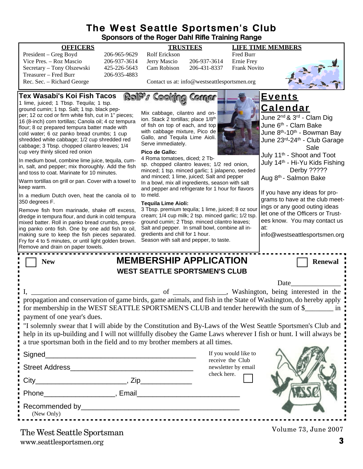## **The West Seattle Sportsmen's Club Sponsors of the Roger Dahl Rifle Training Range**

#### **OFFICERS TRUSTEES LIFE TIME MEMBERS**

| President – Greg Boyd      | 206-965-9629 |
|----------------------------|--------------|
| Vice Pres. – Roz Mascio    | 206-937-3614 |
| Secretary – Tony Olszewski | 425-226-5643 |
| Treasurer – Fred Burr      | 206-935-4883 |
| Rec. Sec. – Richard George |              |

President – Greg Boyd 206-965-9629 Rolf Erickson Fred Burr Vice 13614 Jerry Mascio 206-937-3614 Ernie Frey<br>19643 Cam Robison 206-431-8337 Frank Novi 5643 Cam Robison 206-431-8337 Frank Novito



Contact us at: info@westseattlesportsmen.org

RolPs Cooking Comer **Tex Wasabi's Koi Fish Tacos Events** 1 lime, juiced; 1 Tbsp. Tequila; 1 tsp. **Calendar** ground cumin; 1 tsp. Salt; 1 tsp. black pep-Mix cabbage, cilantro and onper; 12 oz cod or firm white fish, cut in 1" pieces; June 2<sup>nd</sup> & 3<sup>rd</sup> - Clam Dig ion. Stack 2 tortillas; place 1/8th 16 (8-inch) corn tortillas; Canola oil; 4 oz tempura June 6<sup>th</sup> - Clam Bake of fish on top of each, and top flour; 8 oz prepared tempura batter made with with cabbage mixture, Pico de June 8th-10th - Bowman Bay cold water; 6 oz panko bread crumbs; 1 cup Gallo, and Tequila Lime Aioli. shredded white cabbage; 1/2 cup shredded red June 23rd-24th - Club Garage Serve immediately. cabbage; 3 Tbsp. chopped cilantro leaves; 1/4 Sale cup very thinly sliced red onion **Pico de Gallo:** July 11th - Shoot and Toot 4 Roma tomatoes, diced; 2 Tb-In medium bowl, combine lime juice, tequila, cum-July 14th - Hi-Yu Kids Fishing sp. chopped cilantro leaves; 1/2 red onion, in, salt, and pepper; mix thoroughly. Add the fish Derby ????? minced; 1 tsp. minced garlic; 1 jalapeno, seeded and toss to coat. Marinate for 10 minutes. and minced; 1 lime, juiced; Salt and pepper Aug 8<sup>th</sup> - Salmon Bake Warm tortillas on grill or pan. Cover with a towel to In a bowl, mix all ingredients, season with salt keep warm. and pepper and refrigerate for 1 hour for flavors If you have any ideas for proto meld. In a medium Dutch oven, heat the canola oil to grams to have at the club meet-350 degrees F. **Tequila Lime Aioli:** ings or any good outing ideas 3 Tbsp. premium tequila; 1 lime, juiced; 8 oz sour Remove fish from marinade, shake off excess, let one of the Officers or Trustcream; 1/4 cup milk; 2 tsp. minced garlic; 1/2 tsp. dredge in tempura flour, and dunk in cold tempura ees know. You may contact us ground cumin; 2 Tbsp. minced cilantro leaves; mixed batter. Roll in panko bread crumbs, pressing panko onto fish. One by one add fish to oil, Salt and pepper. In small bowl, combine all inat: gredients and chill for 1 hour. making sure to keep the fish pieces separated. info@westseattlesportsmen.orgSeason with salt and pepper, to taste. Fry for 4 to 5 minutes, or until light golden brown. Remove and drain on paper towels. **New MEMBERSHIP APPLICATION** Renewal **WEST SEATTLE SPORTSMEN'S CLUB** Date I, \_\_\_\_\_\_\_\_\_\_\_\_\_\_\_\_\_\_\_\_\_\_\_\_\_\_\_\_\_\_\_\_\_\_\_\_ of \_\_\_\_\_\_\_\_\_\_\_\_\_\_\_, Washington, being interested in the propagation and conservation of game birds, game animals, and fish in the State of Washington, do hereby apply for membership in the WEST SEATTLE SPORTSMEN'S CLUB and tender herewith the sum of \$\_\_\_\_\_\_\_\_\_ in payment of one year's dues. "I solemnly swear that I will abide by the Constitution and By-Laws of the West Seattle Sportsmen's Club and help in its up-building and I will not willfully disobey the Game Laws wherever I fish or hunt. I will always be a true sportsman both in the field and to my brother members at all times. If you would like to Signed receive the Club Street Address\_\_\_\_\_\_\_\_\_\_\_\_\_\_\_\_\_\_\_\_\_\_\_\_\_\_\_\_\_\_\_ newsletter by email check here.  $City$   $City$   $Zip$ Phone\_\_\_\_\_\_\_\_\_\_\_\_\_\_\_\_\_\_, Email\_\_\_\_\_\_\_\_\_\_\_\_\_\_\_\_\_\_\_\_\_\_\_\_\_\_ Recommended by\_\_\_\_\_\_\_\_\_\_\_\_\_\_\_\_\_\_\_\_\_\_\_\_\_\_\_\_\_\_\_\_\_\_\_\_\_\_\_\_ (New Only) 

www.seattlesportsmen.org **3** The West Seattle Sportsman

Volume 73, June 2007